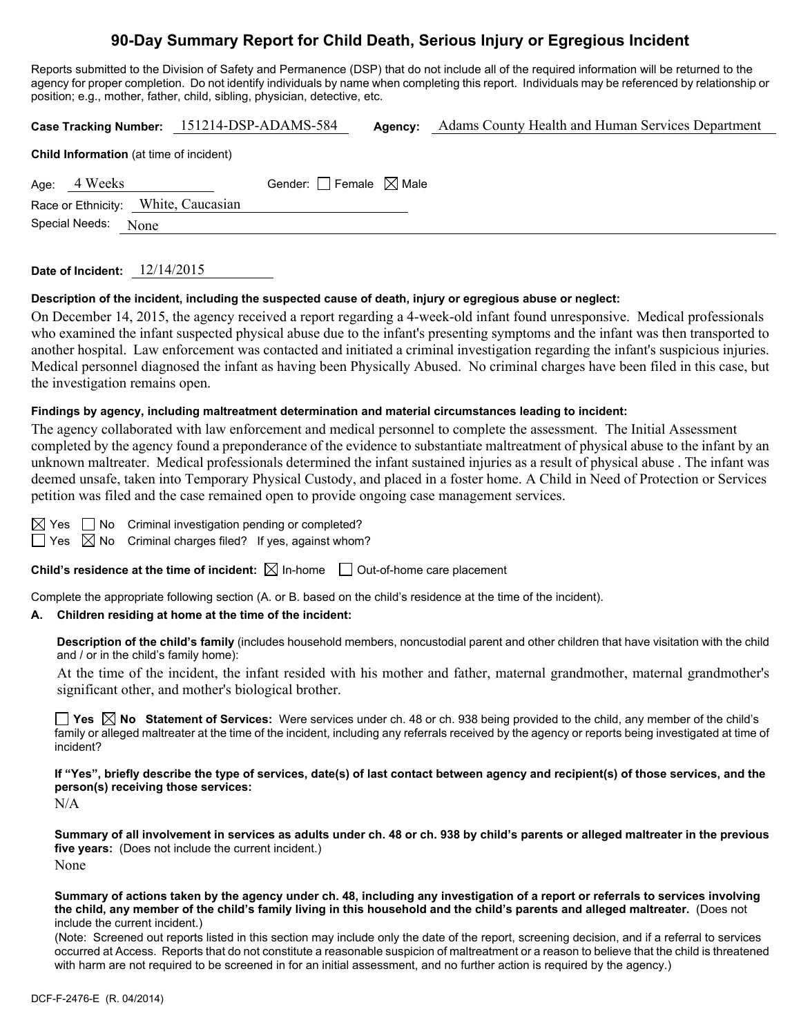# **90-Day Summary Report for Child Death, Serious Injury or Egregious Incident**

Reports submitted to the Division of Safety and Permanence (DSP) that do not include all of the required information will be returned to the agency for proper completion. Do not identify individuals by name when completing this report. Individuals may be referenced by relationship or position; e.g., mother, father, child, sibling, physician, detective, etc.

**Case Tracking Number:** 151214-DSP-ADAMS-584 **Agency:** Adams County Health and Human Services Department

| <b>Child information</b> (at time of incluent) |                                        |  |  |  |  |
|------------------------------------------------|----------------------------------------|--|--|--|--|
| Age: 4 Weeks                                   | Gender: $\Box$ Female $\boxtimes$ Male |  |  |  |  |
| Race or Ethnicity: White, Caucasian            |                                        |  |  |  |  |
| Special Needs: None                            |                                        |  |  |  |  |
|                                                |                                        |  |  |  |  |

| 12/14/2015 |
|------------|
|            |

**Child Information** (at time of incident)

#### **Description of the incident, including the suspected cause of death, injury or egregious abuse or neglect:**

On December 14, 2015, the agency received a report regarding a 4-week-old infant found unresponsive. Medical professionals who examined the infant suspected physical abuse due to the infant's presenting symptoms and the infant was then transported to another hospital. Law enforcement was contacted and initiated a criminal investigation regarding the infant's suspicious injuries. Medical personnel diagnosed the infant as having been Physically Abused. No criminal charges have been filed in this case, but the investigation remains open.

#### **Findings by agency, including maltreatment determination and material circumstances leading to incident:**

The agency collaborated with law enforcement and medical personnel to complete the assessment. The Initial Assessment completed by the agency found a preponderance of the evidence to substantiate maltreatment of physical abuse to the infant by an unknown maltreater. Medical professionals determined the infant sustained injuries as a result of physical abuse . The infant was deemed unsafe, taken into Temporary Physical Custody, and placed in a foster home. A Child in Need of Protection or Services petition was filed and the case remained open to provide ongoing case management services.

 $\Box$  No Criminal investigation pending or completed?

 $\Box$  Yes  $\boxtimes$  No Criminal charges filed? If yes, against whom?

**Child's residence at the time of incident:**  $\boxtimes$  In-home  $\Box$  Out-of-home care placement

Complete the appropriate following section (A. or B. based on the child's residence at the time of the incident).

#### **A. Children residing at home at the time of the incident:**

**Description of the child's family** (includes household members, noncustodial parent and other children that have visitation with the child and / or in the child's family home):

 At the time of the incident, the infant resided with his mother and father, maternal grandmother, maternal grandmother's significant other, and mother's biological brother.

**Yes No Statement of Services:** Were services under ch. 48 or ch. 938 being provided to the child, any member of the child's family or alleged maltreater at the time of the incident, including any referrals received by the agency or reports being investigated at time of incident?

**If "Yes", briefly describe the type of services, date(s) of last contact between agency and recipient(s) of those services, and the person(s) receiving those services:** 

N/A

**Summary of all involvement in services as adults under ch. 48 or ch. 938 by child's parents or alleged maltreater in the previous five years:** (Does not include the current incident.) None

**Summary of actions taken by the agency under ch. 48, including any investigation of a report or referrals to services involving the child, any member of the child's family living in this household and the child's parents and alleged maltreater.** (Does not include the current incident.)

(Note: Screened out reports listed in this section may include only the date of the report, screening decision, and if a referral to services occurred at Access. Reports that do not constitute a reasonable suspicion of maltreatment or a reason to believe that the child is threatened with harm are not required to be screened in for an initial assessment, and no further action is required by the agency.)